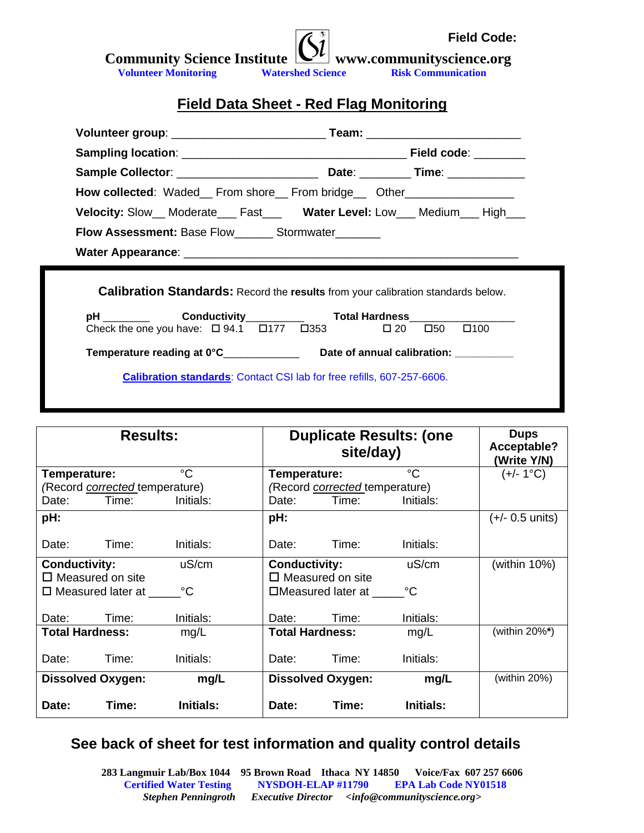| <b>Community Science Institute <math>\boxed{\text{Cl}}</math></b> www.communityscience.org |                          | <b>Field Code:</b>        |
|--------------------------------------------------------------------------------------------|--------------------------|---------------------------|
|                                                                                            |                          |                           |
| <b>Volunteer Monitoring</b>                                                                | <b>Watershed Science</b> | <b>Risk Communication</b> |

# **Field Data Sheet - Red Flag Monitoring**

|                                                                                                                                                       | Volunteer group: ___________________________Team: _____________________________ |  |  |  |  |  |  |  |
|-------------------------------------------------------------------------------------------------------------------------------------------------------|---------------------------------------------------------------------------------|--|--|--|--|--|--|--|
|                                                                                                                                                       |                                                                                 |  |  |  |  |  |  |  |
|                                                                                                                                                       |                                                                                 |  |  |  |  |  |  |  |
| <b>How collected:</b> Waded__ From shore__ From bridge__ Other_________________                                                                       |                                                                                 |  |  |  |  |  |  |  |
| Velocity: Slow__ Moderate___ Fast___ Water Level: Low___ Medium___ High___                                                                            |                                                                                 |  |  |  |  |  |  |  |
| <b>Flow Assessment: Base Flow_______ Stormwater_________</b>                                                                                          |                                                                                 |  |  |  |  |  |  |  |
|                                                                                                                                                       |                                                                                 |  |  |  |  |  |  |  |
| <b>Calibration Standards:</b> Record the results from your calibration standards below.<br>pH _________ Conductivity___________ Total Hardness_______ |                                                                                 |  |  |  |  |  |  |  |
|                                                                                                                                                       |                                                                                 |  |  |  |  |  |  |  |
| Check the one you have: $\Box$ 94.1 $\Box$ 177 $\Box$ 353 $\Box$ 20 $\Box$ 50 $\Box$ 100                                                              |                                                                                 |  |  |  |  |  |  |  |
| Temperature reading at 0°C__________________  Date of annual calibration: __________                                                                  |                                                                                 |  |  |  |  |  |  |  |

| <b>Results:</b>                       |                  | <b>Duplicate Results: (one</b><br>site/day) |                                       | <b>Dups</b><br>Acceptable?<br>(Write Y/N) |                           |
|---------------------------------------|------------------|---------------------------------------------|---------------------------------------|-------------------------------------------|---------------------------|
| Temperature:                          | $^{\circ}C$      | Temperature:                                |                                       | °C                                        | (+/- 1°C)                 |
| (Record <i>corrected</i> temperature) |                  |                                             | (Record <i>corrected</i> temperature) |                                           |                           |
| Time:<br>Date:                        | Initials:        | Date:                                       | Time:                                 | Initials:                                 |                           |
| pH:                                   |                  | pH:                                         |                                       |                                           | $(+/- 0.5 \text{ units})$ |
| Date:<br>Time:                        | Initials:        | Date:                                       | Time:                                 | Initials:                                 |                           |
| <b>Conductivity:</b>                  | uS/cm            | <b>Conductivity:</b>                        |                                       | uS/cm                                     | (within $10\%$ )          |
| $\Box$ Measured on site               |                  |                                             | $\square$ Measured on site            |                                           |                           |
| $\square$ Measured later at           | °C               |                                             | $\Box$ Measured later at              | °C                                        |                           |
| Date:<br>Time:                        | Initials:        | Date:                                       | Time:                                 | Initials:                                 |                           |
| <b>Total Hardness:</b>                | mg/L             |                                             | <b>Total Hardness:</b>                | mg/L                                      | (within 20%*)             |
| Date:<br>Time:                        | Initials:        | Date:                                       | Time:                                 | Initials:                                 |                           |
| <b>Dissolved Oxygen:</b>              | mg/L             |                                             | <b>Dissolved Oxygen:</b>              | mg/L                                      | (within 20%)              |
| Time:<br>Date:                        | <b>Initials:</b> | Date:                                       | Time:                                 | <b>Initials:</b>                          |                           |

# **See back of sheet for test information and quality control details**